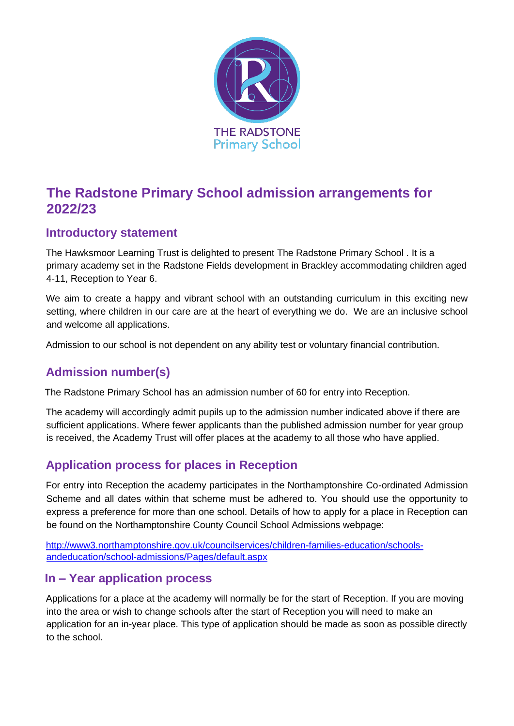

# **The Radstone Primary School admission arrangements for 2022/23**

## **Introductory statement**

The Hawksmoor Learning Trust is delighted to present The Radstone Primary School . It is a primary academy set in the Radstone Fields development in Brackley accommodating children aged 4-11, Reception to Year 6.

We aim to create a happy and vibrant school with an outstanding curriculum in this exciting new setting, where children in our care are at the heart of everything we do. We are an inclusive school and welcome all applications.

Admission to our school is not dependent on any ability test or voluntary financial contribution.

## **Admission number(s)**

The Radstone Primary School has an admission number of 60 for entry into Reception.

The academy will accordingly admit pupils up to the admission number indicated above if there are sufficient applications. Where fewer applicants than the published admission number for year group is received, the Academy Trust will offer places at the academy to all those who have applied.

## **Application process for places in Reception**

For entry into Reception the academy participates in the Northamptonshire Co-ordinated Admission Scheme and all dates within that scheme must be adhered to. You should use the opportunity to express a preference for more than one school. Details of how to apply for a place in Reception can be found on the Northamptonshire County Council School Admissions webpage:

[http://www3.northamptonshire.gov.uk/councilservices/children-families-education/schools](http://www3.northamptonshire.gov.uk/councilservices/children-families-education/schools-and-education/school-admissions/Pages/default.aspx)[andeducation/school-admissions/Pages/default.aspx](http://www3.northamptonshire.gov.uk/councilservices/children-families-education/schools-and-education/school-admissions/Pages/default.aspx)

## **In – Year application process**

Applications for a place at the academy will normally be for the start of Reception. If you are moving into the area or wish to change schools after the start of Reception you will need to make an application for an in-year place. This type of application should be made as soon as possible directly to the school.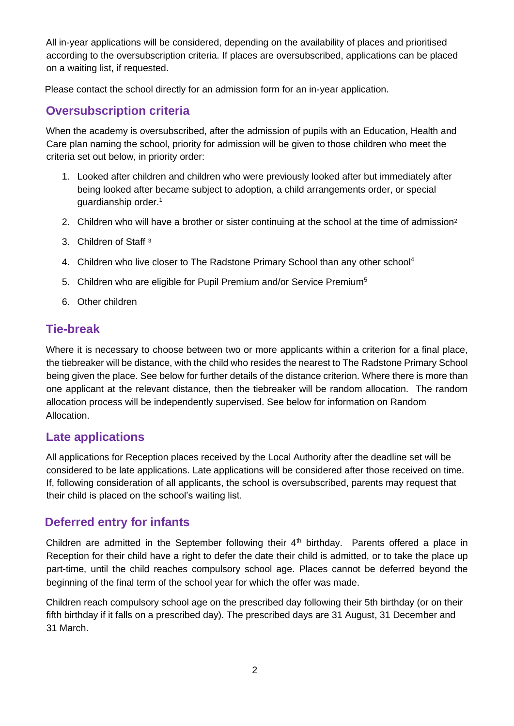All in-year applications will be considered, depending on the availability of places and prioritised according to the oversubscription criteria. If places are oversubscribed, applications can be placed on a waiting list, if requested.

Please contact the school directly for an admission form for an in-year application.

### **Oversubscription criteria**

When the academy is oversubscribed, after the admission of pupils with an Education, Health and Care plan naming the school, priority for admission will be given to those children who meet the criteria set out below, in priority order:

- 1. Looked after children and children who were previously looked after but immediately after being looked after became subject to adoption, a child arrangements order, or special guardianship order.<sup>1</sup>
- 2. Children who will have a brother or sister continuing at the school at the time of admission<sup>2</sup>
- 3. Children of Staff <sup>3</sup>
- 4. Children who live closer to The Radstone Primary School than any other school<sup>4</sup>
- 5. Children who are eligible for Pupil Premium and/or Service Premium<sup>5</sup>
- 6. Other children

### **Tie-break**

Where it is necessary to choose between two or more applicants within a criterion for a final place, the tiebreaker will be distance, with the child who resides the nearest to The Radstone Primary School being given the place. See below for further details of the distance criterion. Where there is more than one applicant at the relevant distance, then the tiebreaker will be random allocation. The random allocation process will be independently supervised. See below for information on Random Allocation.

### **Late applications**

All applications for Reception places received by the Local Authority after the deadline set will be considered to be late applications. Late applications will be considered after those received on time. If, following consideration of all applicants, the school is oversubscribed, parents may request that their child is placed on the school's waiting list.

### **Deferred entry for infants**

Children are admitted in the September following their 4<sup>th</sup> birthday. Parents offered a place in Reception for their child have a right to defer the date their child is admitted, or to take the place up part-time, until the child reaches compulsory school age. Places cannot be deferred beyond the beginning of the final term of the school year for which the offer was made.

Children reach compulsory school age on the prescribed day following their 5th birthday (or on their fifth birthday if it falls on a prescribed day). The prescribed days are 31 August, 31 December and 31 March.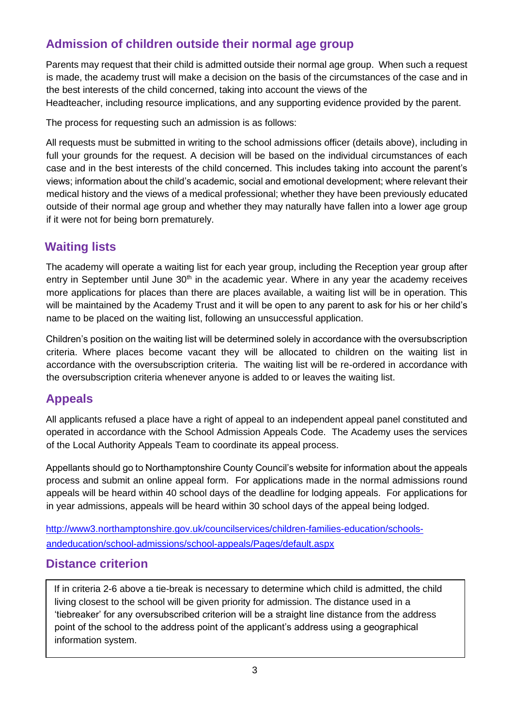## **Admission of children outside their normal age group**

Parents may request that their child is admitted outside their normal age group. When such a request is made, the academy trust will make a decision on the basis of the circumstances of the case and in the best interests of the child concerned, taking into account the views of the Headteacher, including resource implications, and any supporting evidence provided by the parent.

The process for requesting such an admission is as follows:

All requests must be submitted in writing to the school admissions officer (details above), including in full your grounds for the request. A decision will be based on the individual circumstances of each case and in the best interests of the child concerned. This includes taking into account the parent's views; information about the child's academic, social and emotional development; where relevant their medical history and the views of a medical professional; whether they have been previously educated outside of their normal age group and whether they may naturally have fallen into a lower age group if it were not for being born prematurely.

## **Waiting lists**

The academy will operate a waiting list for each year group, including the Reception year group after entry in September until June  $30<sup>th</sup>$  in the academic year. Where in any year the academy receives more applications for places than there are places available, a waiting list will be in operation. This will be maintained by the Academy Trust and it will be open to any parent to ask for his or her child's name to be placed on the waiting list, following an unsuccessful application.

Children's position on the waiting list will be determined solely in accordance with the oversubscription criteria. Where places become vacant they will be allocated to children on the waiting list in accordance with the oversubscription criteria. The waiting list will be re-ordered in accordance with the oversubscription criteria whenever anyone is added to or leaves the waiting list.

### **Appeals**

All applicants refused a place have a right of appeal to an independent appeal panel constituted and operated in accordance with the School Admission Appeals Code. The Academy uses the services of the Local Authority Appeals Team to coordinate its appeal process.

Appellants should go to Northamptonshire County Council's website for information about the appeals process and submit an online appeal form. For applications made in the normal admissions round appeals will be heard within 40 school days of the deadline for lodging appeals. For applications for in year admissions, appeals will be heard within 30 school days of the appeal being lodged.

[http://www3.northamptonshire.gov.uk/councilservices/children-families-education/schools](http://www3.northamptonshire.gov.uk/councilservices/children-families-education/schools-and-education/school-admissions/school-appeals/Pages/default.aspx)[andeducation/school-admissions/school-appeals/Pages/default.aspx](http://www3.northamptonshire.gov.uk/councilservices/children-families-education/schools-and-education/school-admissions/school-appeals/Pages/default.aspx)

### **Distance criterion**

If in criteria 2-6 above a tie-break is necessary to determine which child is admitted, the child living closest to the school will be given priority for admission. The distance used in a 'tiebreaker' for any oversubscribed criterion will be a straight line distance from the address point of the school to the address point of the applicant's address using a geographical information system.